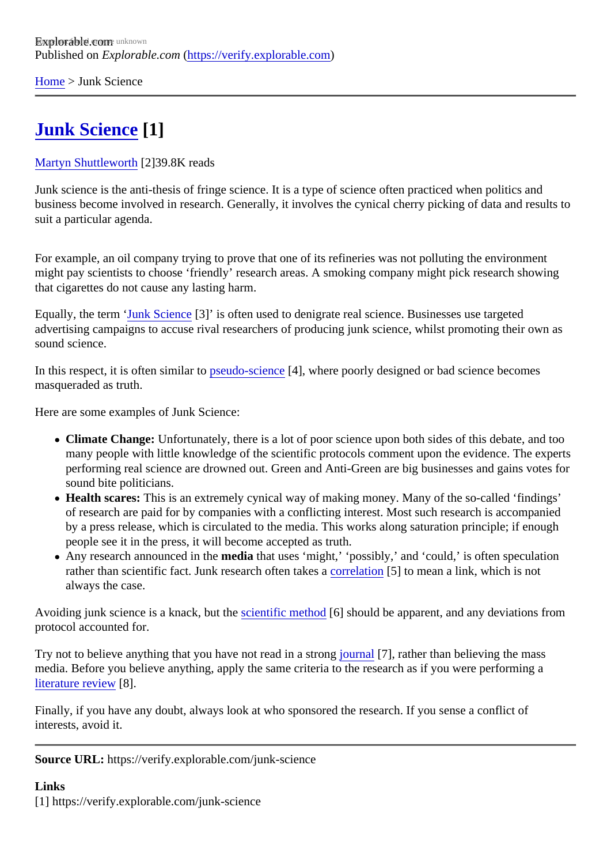[Home](https://verify.explorable.com/) > Junk Science

## [Junk Science](https://verify.explorable.com/junk-science)<sup>[1]</sup>

## [Martyn Shuttlewort](https://verify.explorable.com/users/martyn)h<sup>[2]</sup>39.8K reads

Junk science is the anti-thesis of fringe science. It is a type of science often practiced when politics and business become involved in research. Generally, it involves the cynical cherry picking of data and results suit a particular agenda.

For example, an oil company trying to prove that one of its refineries was not polluting the environment might pay scientists to choose 'friendly' research areas. A smoking company might pick research showing that cigarettes do not cause any lasting harm.

Equally, the term Junk Science3]' is often used to denigrate real science. Businesses use targeted advertising campaigns to accuse rival researchers of producing junk science, whilst promoting their own a sound science.

In this respect, it is often similar *pseudo-science*[4], where poorly designed or bad science becomes masqueraded as truth.

Here are some examples of Junk Science:

- Climate Change: Unfortunately, there is a lot of poor science upon both sides of this debate, and too many people with little knowledge of the scientific protocols comment upon the evidence. The expert performing real science are drowned out. Green and Anti-Green are big businesses and gains votes sound bite politicians.
- Health scares: This is an extremely cynical way of making money. Many of the so-called 'findings' of research are paid for by companies with a conflicting interest. Most such research is accompanied by a press release, which is circulated to the media. This works along saturation principle; if enough people see it in the press, it will become accepted as truth.
- Any research announced in the dia that uses 'might,' 'possibly,' and 'could,' is often speculation rather than scientific fact. Junk research often takes relation[5] to mean a link, which is not always the case.

Avoiding junk science is a knack, but the entific method 6] should be apparent, and any deviations from protocol accounted for.

Try not to believe anything that you have not read in a strong all [7], rather than believing the mass media. Before you believe anything, apply the same criteria to the research as if you were performing a [literature review](https://verify.explorable.com/what-is-a-literature-review)<sup>[8]</sup>.

Finally, if you have any doubt, always look at who sponsored the research. If you sense a conflict of interests, avoid it.

Source URL: https://verify.explorable.com/junk-science